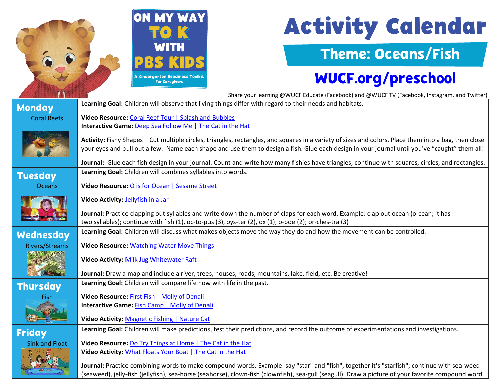|                                                                                                                                            | <b>ON MY WAY</b><br><b>Activity Calendar</b>                                                                                                                                                                                                                                                           |  |  |
|--------------------------------------------------------------------------------------------------------------------------------------------|--------------------------------------------------------------------------------------------------------------------------------------------------------------------------------------------------------------------------------------------------------------------------------------------------------|--|--|
|                                                                                                                                            | <b>Theme: Oceans/Fish</b>                                                                                                                                                                                                                                                                              |  |  |
|                                                                                                                                            | WUCF.org/preschool<br>A Kindergarten Readiness Toolkit<br><b>For Caregivers</b>                                                                                                                                                                                                                        |  |  |
|                                                                                                                                            | Share your learning @WUCF Educate (Facebook) and @WUCF TV (Facebook, Instagram, and Twitter)                                                                                                                                                                                                           |  |  |
| <b>Monday</b>                                                                                                                              | Learning Goal: Children will observe that living things differ with regard to their needs and habitats.                                                                                                                                                                                                |  |  |
| <b>Coral Reefs</b>                                                                                                                         | Video Resource: Coral Reef Tour   Splash and Bubbles<br>Interactive Game: Deep Sea Follow Me   The Cat in the Hat                                                                                                                                                                                      |  |  |
|                                                                                                                                            | Activity: Fishy Shapes - Cut multiple circles, triangles, rectangles, and squares in a variety of sizes and colors. Place them into a bag, then close<br>your eyes and pull out a few. Name each shape and use them to design a fish. Glue each design in your journal until you've "caught" them all! |  |  |
|                                                                                                                                            | Journal: Glue each fish design in your journal. Count and write how many fishies have triangles; continue with squares, circles, and rectangles.                                                                                                                                                       |  |  |
| <b>Tuesday</b>                                                                                                                             | Learning Goal: Children will combines syllables into words.                                                                                                                                                                                                                                            |  |  |
| <b>Oceans</b>                                                                                                                              | Video Resource: O is for Ocean   Sesame Street                                                                                                                                                                                                                                                         |  |  |
|                                                                                                                                            | Video Activity: Jellyfish in a Jar                                                                                                                                                                                                                                                                     |  |  |
|                                                                                                                                            | Journal: Practice clapping out syllables and write down the number of claps for each word. Example: clap out ocean (o-cean; it has<br>two syllables); continue with fish (1), oc-to-pus (3), oys-ter (2), ox (1); o-boe (2); or-ches-tra (3)                                                           |  |  |
|                                                                                                                                            |                                                                                                                                                                                                                                                                                                        |  |  |
| Wednesday                                                                                                                                  | Learning Goal: Children will discuss what makes objects move the way they do and how the movement can be controlled.                                                                                                                                                                                   |  |  |
| <b>Rivers/Streams</b>                                                                                                                      | <b>Video Resource: Watching Water Move Things</b>                                                                                                                                                                                                                                                      |  |  |
|                                                                                                                                            | <b>Video Activity: Milk Jug Whitewater Raft</b><br>Journal: Draw a map and include a river, trees, houses, roads, mountains, lake, field, etc. Be creative!                                                                                                                                            |  |  |
|                                                                                                                                            |                                                                                                                                                                                                                                                                                                        |  |  |
| Thursday                                                                                                                                   | Learning Goal: Children will compare life now with life in the past.                                                                                                                                                                                                                                   |  |  |
| Fish                                                                                                                                       | Video Resource: First Fish   Molly of Denali                                                                                                                                                                                                                                                           |  |  |
|                                                                                                                                            | <b>Interactive Game: Fish Camp   Molly of Denali</b>                                                                                                                                                                                                                                                   |  |  |
|                                                                                                                                            | Video Activity: Magnetic Fishing   Nature Cat                                                                                                                                                                                                                                                          |  |  |
| <b>Friday</b>                                                                                                                              | Learning Goal: Children will make predictions, test their predictions, and record the outcome of experimentations and investigations.                                                                                                                                                                  |  |  |
| <b>Sink and Float</b>                                                                                                                      | Video Resource: Do Try Things at Home   The Cat in the Hat                                                                                                                                                                                                                                             |  |  |
|                                                                                                                                            | Video Activity: What Floats Your Boat   The Cat in the Hat                                                                                                                                                                                                                                             |  |  |
| Journal: Practice combining words to make compound words. Example: say "star" and "fish", together it's "starfish"; continue with sea-weed |                                                                                                                                                                                                                                                                                                        |  |  |
|                                                                                                                                            | (seaweed), jelly-fish (jellyfish), sea-horse (seahorse), clown-fish (clownfish), sea-gull (seagull). Draw a picture of your favorite compound word.                                                                                                                                                    |  |  |